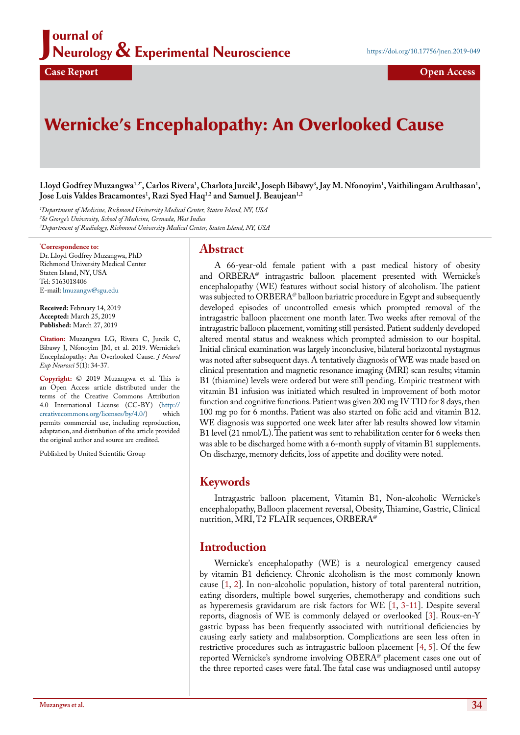## J ournal of Neurology & Experimental Neuroscience

# Wernicke's Encephalopathy: An Overlooked Cause

Lloyd Godfrey Muzangwa<sup>1,2+</sup>, Carlos Rivera<sup>1</sup>, Charlota Jurcik<sup>1</sup>, Joseph Bibawy<sup>3</sup>, Jay M. Nfonoyim<sup>1</sup>, Vaithilingam Arulthasan<sup>1</sup>, **Jose Luis Valdes Bracamontes1 , Razi Syed Haq1,2 and Samuel J. Beaujean1,2**

*1 Department of Medicine, Richmond University Medical Center, Staten Island, NY, USA 2 St George's University, School of Medicine, Grenada, West Indies 3 Department of Radiology, Richmond University Medical Center, Staten Island, NY, USA*

#### **\* Correspondence to:**

Dr. Lloyd Godfrey Muzangwa, PhD Richmond University Medical Center Staten Island, NY, USA Tel: 5163018406 E-mail: [lmuzangw@sgu.edu](mailto:lmuzangw@sgu.edu)

**Received:** February 14, 2019 **Accepted:** March 25, 2019 **Published:** March 27, 2019

**Citation:** Muzangwa LG, Rivera C, Jurcik C, Bibawy J, Nfonoyim JM, et al. 2019. Wernicke's Encephalopathy: An Overlooked Cause. *J Neurol Exp Neurosci* 5(1): 34-37.

**Copyright:** © 2019 Muzangwa et al. This is an Open Access article distributed under the terms of the Creative Commons Attribution 4.0 International License (CC-BY) ([http://](http://creativecommons.org/licenses/by/4.0/)<br>creativecommons.org/licenses/bv/4.0/) which [creativecommons.org/licenses/by/4.0/](http://creativecommons.org/licenses/by/4.0/)) permits commercial use, including reproduction, adaptation, and distribution of the article provided the original author and source are credited.

Published by United Scientific Group

### **Abstract**

A 66-year-old female patient with a past medical history of obesity and  $ORBERA^{\omega}$  intragastric balloon placement presented with Wernicke's encephalopathy (WE) features without social history of alcoholism. The patient was subjected to ORBERA@ balloon bariatric procedure in Egypt and subsequently developed episodes of uncontrolled emesis which prompted removal of the intragastric balloon placement one month later. Two weeks after removal of the intragastric balloon placement, vomiting still persisted. Patient suddenly developed altered mental status and weakness which prompted admission to our hospital. Initial clinical examination was largely inconclusive, bilateral horizontal nystagmus was noted after subsequent days. A tentatively diagnosis of WE was made based on clinical presentation and magnetic resonance imaging (MRI) scan results; vitamin B1 (thiamine) levels were ordered but were still pending. Empiric treatment with vitamin B1 infusion was initiated which resulted in improvement of both motor function and cognitive functions. Patient was given 200 mg IV TID for 8 days, then 100 mg po for 6 months. Patient was also started on folic acid and vitamin B12. WE diagnosis was supported one week later after lab results showed low vitamin B1 level (21 nmol/L). The patient was sent to rehabilitation center for 6 weeks then was able to be discharged home with a 6-month supply of vitamin B1 supplements. On discharge, memory deficits, loss of appetite and docility were noted.

# **Keywords**

Intragastric balloon placement, Vitamin B1, Non-alcoholic Wernicke's encephalopathy, Balloon placement reversal, Obesity, Thiamine, Gastric, Clinical nutrition, MRI, T2 FLAIR sequences, ORBERA@

# **Introduction**

Wernicke's encephalopathy (WE) is a neurological emergency caused by vitamin B1 deficiency. Chronic alcoholism is the most commonly known cause [\[1](#page-3-0), [2\]](#page-3-1). In non-alcoholic population, history of total parenteral nutrition, eating disorders, multiple bowel surgeries, chemotherapy and conditions such as hyperemesis gravidarum are risk factors for WE [[1,](#page-3-0) [3-](#page-3-2)[11\]](#page-3-3). Despite several reports, diagnosis of WE is commonly delayed or overlooked [[3\]](#page-3-2). Roux-en-Y gastric bypass has been frequently associated with nutritional deficiencies by causing early satiety and malabsorption. Complications are seen less often in restrictive procedures such as intragastric balloon placement [\[4](#page-3-4), [5\]](#page-3-5). Of the few reported Wernicke's syndrome involving OBERA<sup>@</sup> placement cases one out of the three reported cases were fatal. The fatal case was undiagnosed until autopsy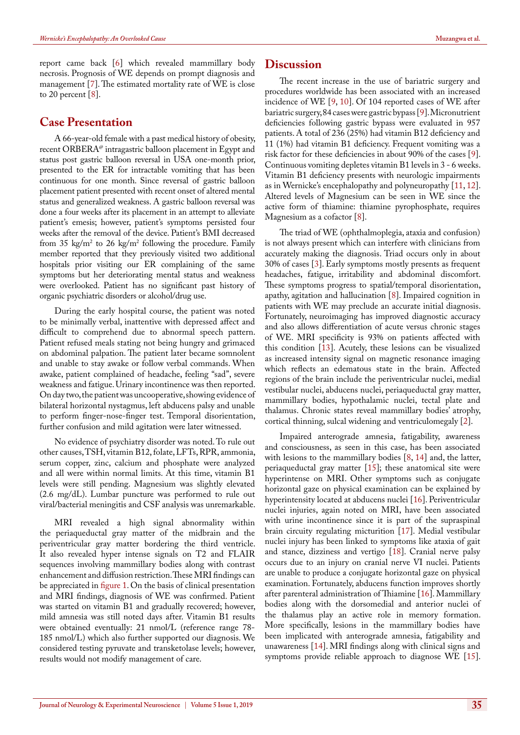report came back [\[6](#page-3-16)] which revealed mammillary body necrosis. Prognosis of WE depends on prompt diagnosis and management [\[7](#page-3-17)]. The estimated mortality rate of WE is close to 20 percent [\[8](#page-3-9)].

## **Case Presentation**

A 66-year-old female with a past medical history of obesity, recent ORBER $A^{\omega}$  intragastric balloon placement in Egypt and status post gastric balloon reversal in USA one-month prior, presented to the ER for intractable vomiting that has been continuous for one month. Since reversal of gastric balloon placement patient presented with recent onset of altered mental status and generalized weakness. A gastric balloon reversal was done a four weeks after its placement in an attempt to alleviate patient's emesis; however, patient's symptoms persisted four weeks after the removal of the device. Patient's BMI decreased from 35 kg/m2 to 26 kg/m2 following the procedure. Family member reported that they previously visited two additional hospitals prior visiting our ER complaining of the same symptoms but her deteriorating mental status and weakness were overlooked. Patient has no significant past history of organic psychiatric disorders or alcohol/drug use.

During the early hospital course, the patient was noted to be minimally verbal, inattentive with depressed affect and difficult to comprehend due to abnormal speech pattern. Patient refused meals stating not being hungry and grimaced on abdominal palpation. The patient later became somnolent and unable to stay awake or follow verbal commands. When awake, patient complained of headache, feeling "sad", severe weakness and fatigue. Urinary incontinence was then reported. On day two, the patient was uncooperative, showing evidence of bilateral horizontal nystagmus, left abducens palsy and unable to perform finger-nose-finger test. Temporal disorientation, further confusion and mild agitation were later witnessed.

No evidence of psychiatry disorder was noted. To rule out other causes, TSH, vitamin B12, folate, LFTs, RPR, ammonia, serum copper, zinc, calcium and phosphate were analyzed and all were within normal limits. At this time, vitamin B1 levels were still pending. Magnesium was slightly elevated (2.6 mg/dL). Lumbar puncture was performed to rule out viral/bacterial meningitis and CSF analysis was unremarkable.

MRI revealed a high signal abnormality within the periaqueductal gray matter of the midbrain and the periventricular gray matter bordering the third ventricle. It also revealed hyper intense signals on T2 and FLAIR sequences involving mammillary bodies along with contrast enhancement and diffusion restriction. These MRI findings can be appreciated in figure 1. On the basis of clinical presentation and MRI findings, diagnosis of WE was confirmed. Patient was started on vitamin B1 and gradually recovered; however, mild amnesia was still noted days after. Vitamin B1 results were obtained eventually: 21 nmol/L (reference range 78- 185 nmol/L) which also further supported our diagnosis. We considered testing pyruvate and transketolase levels; however, results would not modify management of care.

### **Discussion**

The recent increase in the use of bariatric surgery and procedures worldwide has been associated with an increased incidence of WE [\[9](#page-3-6), [10](#page-3-7)]. Of 104 reported cases of WE after bariatric surgery, 84 cases were gastric bypass [[9\]](#page-3-6). Micronutrient deficiencies following gastric bypass were evaluated in 957 patients. A total of 236 (25%) had vitamin B12 deficiency and 11 (1%) had vitamin B1 deficiency. Frequent vomiting was a risk factor for these deficiencies in about 90% of the cases [[9\]](#page-3-6). Continuous vomiting depletes vitamin B1 levels in 3 - 6 weeks. Vitamin B1 deficiency presents with neurologic impairments as in Wernicke's encephalopathy and polyneuropathy [\[11](#page-3-3), [12\]](#page-3-8). Altered levels of Magnesium can be seen in WE since the active form of thiamine: thiamine pyrophosphate, requires Magnesium as a cofactor [\[8](#page-3-9)].

The triad of WE (ophthalmoplegia, ataxia and confusion) is not always present which can interfere with clinicians from accurately making the diagnosis. Triad occurs only in about 30% of cases [\[3](#page-3-2)]. Early symptoms mostly presents as frequent headaches, fatigue, irritability and abdominal discomfort. These symptoms progress to spatial/temporal disorientation, apathy, agitation and hallucination [\[8](#page-3-9)]. Impaired cognition in patients with WE may preclude an accurate initial diagnosis. Fortunately, neuroimaging has improved diagnostic accuracy and also allows differentiation of acute versus chronic stages of WE. MRI specificity is 93% on patients affected with this condition [\[13](#page-3-10)]. Acutely, these lesions can be visualized as increased intensity signal on magnetic resonance imaging which reflects an edematous state in the brain. Affected regions of the brain include the periventricular nuclei, medial vestibular nuclei, abducens nuclei, periaqueductal gray matter, mammillary bodies, hypothalamic nuclei, tectal plate and thalamus. Chronic states reveal mammillary bodies' atrophy, cortical thinning, sulcal widening and ventriculomegaly [[2\]](#page-3-1).

Impaired anterograde amnesia, fatigability, awareness and consciousness, as seen in this case, has been associated with lesions to the mammillary bodies [[8,](#page-3-9) [14\]](#page-3-11) and, the latter, periaqueductal gray matter  $[15]$  $[15]$ ; these anatomical site were hyperintense on MRI. Other symptoms such as conjugate horizontal gaze on physical examination can be explained by hyperintensity located at abducens nuclei [\[16](#page-3-13)]. Periventricular nuclei injuries, again noted on MRI, have been associated with urine incontinence since it is part of the supraspinal brain circuity regulating micturition [\[17](#page-3-14)]. Medial vestibular nuclei injury has been linked to symptoms like ataxia of gait and stance, dizziness and vertigo [\[18](#page-3-15)]. Cranial nerve palsy occurs due to an injury on cranial nerve VI nuclei. Patients are unable to produce a conjugate horizontal gaze on physical examination. Fortunately, abducens function improves shortly after parenteral administration of Thiamine [[16\]](#page-3-13). Mammillary bodies along with the dorsomedial and anterior nuclei of the thalamus play an active role in memory formation. More specifically, lesions in the mammillary bodies have been implicated with anterograde amnesia, fatigability and unawareness [[14\]](#page-3-11). MRI findings along with clinical signs and symptoms provide reliable approach to diagnose WE [[15\]](#page-3-12).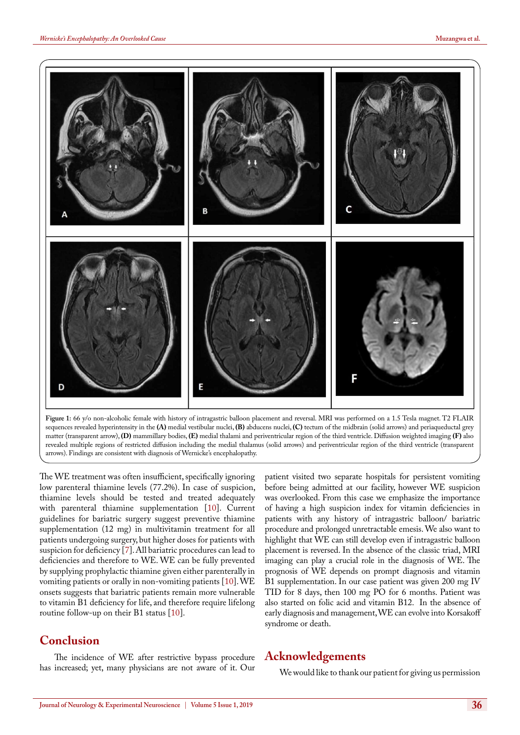

**Figure 1:** 66 y/o non-alcoholic female with history of intragastric balloon placement and reversal. MRI was performed on a 1.5 Tesla magnet. T2 FLAIR sequences revealed hyperintensity in the **(A)** medial vestibular nuclei, **(B)** abducens nuclei, **(C)** tectum of the midbrain (solid arrows) and periaqueductal grey matter (transparent arrow), **(D)** mammillary bodies, **(E)** medial thalami and periventricular region of the third ventricle. Diffusion weighted imaging **(F)** also revealed multiple regions of restricted diffusion including the medial thalamus (solid arrows) and periventricular region of the third ventricle (transparent arrows). Findings are consistent with diagnosis of Wernicke's encephalopathy.

The WE treatment was often insufficient, specifically ignoring low parenteral thiamine levels (77.2%). In case of suspicion, thiamine levels should be tested and treated adequately with parenteral thiamine supplementation [[10\]](#page-3-7). Current guidelines for bariatric surgery suggest preventive thiamine supplementation (12 mg) in multivitamin treatment for all patients undergoing surgery, but higher doses for patients with suspicion for deficiency [\[7](#page-3-17)]. All bariatric procedures can lead to deficiencies and therefore to WE. WE can be fully prevented by supplying prophylactic thiamine given either parenterally in vomiting patients or orally in non-vomiting patients [\[10](#page-3-7)]. WE onsets suggests that bariatric patients remain more vulnerable to vitamin B1 deficiency for life, and therefore require lifelong routine follow-up on their B1 status [[10\]](#page-3-7).

# **Conclusion**

The incidence of WE after restrictive bypass procedure has increased; yet, many physicians are not aware of it. Our

patient visited two separate hospitals for persistent vomiting before being admitted at our facility, however WE suspicion was overlooked. From this case we emphasize the importance of having a high suspicion index for vitamin deficiencies in patients with any history of intragastric balloon/ bariatric procedure and prolonged unretractable emesis. We also want to highlight that WE can still develop even if intragastric balloon placement is reversed. In the absence of the classic triad, MRI imaging can play a crucial role in the diagnosis of WE. The prognosis of WE depends on prompt diagnosis and vitamin B1 supplementation. In our case patient was given 200 mg IV TID for 8 days, then 100 mg PO for 6 months. Patient was also started on folic acid and vitamin B12. In the absence of early diagnosis and management, WE can evolve into Korsakoff syndrome or death.

# **Acknowledgements**

We would like to thank our patient for giving us permission